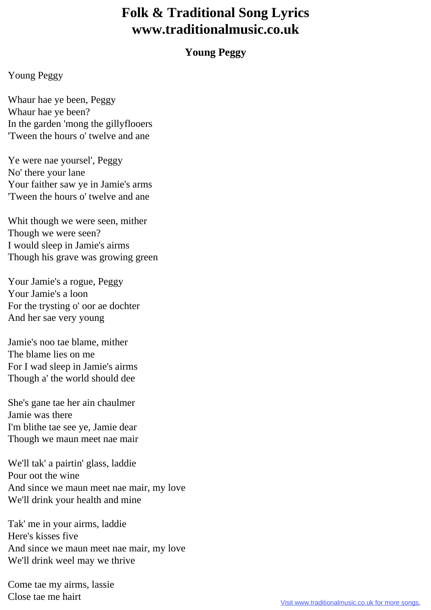## **Folk & Traditional Song Lyrics www.traditionalmusic.co.uk**

## **Young Peggy**

## Young Peggy

Whaur hae ye been, Peggy Whaur hae ye been? In the garden 'mong the gillyflooers 'Tween the hours o' twelve and ane

Ye were nae yoursel', Peggy No' there your lane Your faither saw ye in Jamie's arms 'Tween the hours o' twelve and ane

Whit though we were seen, mither Though we were seen? I would sleep in Jamie's airms Though his grave was growing green

Your Jamie's a rogue, Peggy Your Jamie's a loon For the trysting o' oor ae dochter And her sae very young

Jamie's noo tae blame, mither The blame lies on me For I wad sleep in Jamie's airms Though a' the world should dee

She's gane tae her ain chaulmer Jamie was there I'm blithe tae see ye, Jamie dear Though we maun meet nae mair

We'll tak' a pairtin' glass, laddie Pour oot the wine And since we maun meet nae mair, my love We'll drink your health and mine

Tak' me in your airms, laddie Here's kisses five And since we maun meet nae mair, my love We'll drink weel may we thrive

Come tae my airms, lassie Close tae me hairt